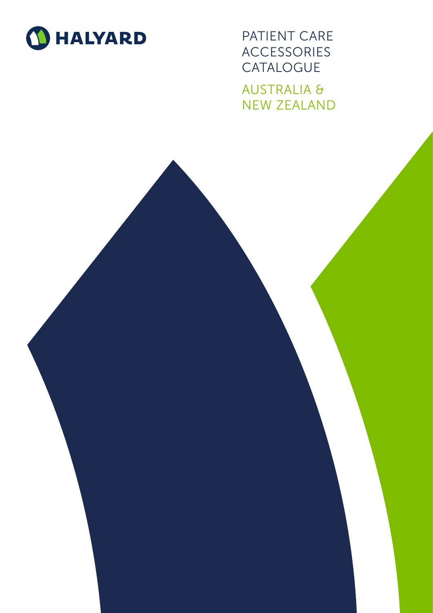

PATIENT CARE ACCESSORIES **CATALOGUE** AUSTRALIA & NEW ZEALAND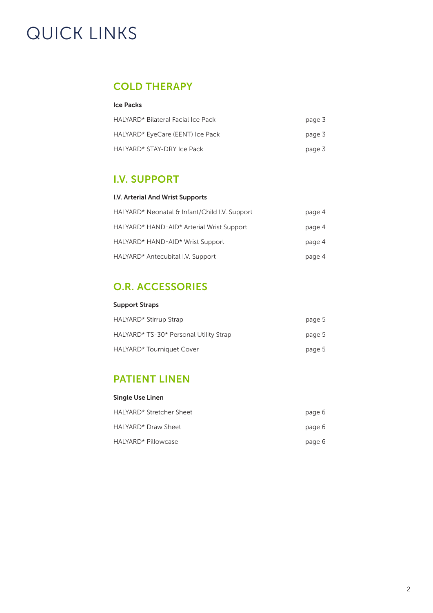# QUICK LINKS

# [COLD THERAPY](#page-2-0)

### Ice Packs

| HALYARD* Bilateral Facial Ice Pack | page 3 |
|------------------------------------|--------|
| HALYARD* EyeCare (EENT) Ice Pack   | page 3 |
| HALYARD* STAY-DRY Ice Pack         | page 3 |

## I.V. SUPPORT

#### I.V. Arterial And Wrist Supports

| HALYARD* Neonatal & Infant/Child I.V. Support | page 4 |
|-----------------------------------------------|--------|
| HALYARD* HAND-AID* Arterial Wrist Support     | page 4 |
| HALYARD* HAND-AID* Wrist Support              | page 4 |
| HALYARD* Antecubital I.V. Support             | page 4 |

# [O.R. ACCESSORIES](#page-4-0)

#### Support Straps

| HALYARD* Stirrup Strap                 | page 5 |
|----------------------------------------|--------|
| HALYARD* TS-30* Personal Utility Strap | page 5 |
| HALYARD* Tourniquet Cover              | page 5 |

### [PATIENT LINEN](#page-5-0)

| Single Use Linen         |        |
|--------------------------|--------|
| HALYARD* Stretcher Sheet | page 6 |
| HALYARD* Draw Sheet      | page 6 |
| HALYARD* Pillowcase      | page 6 |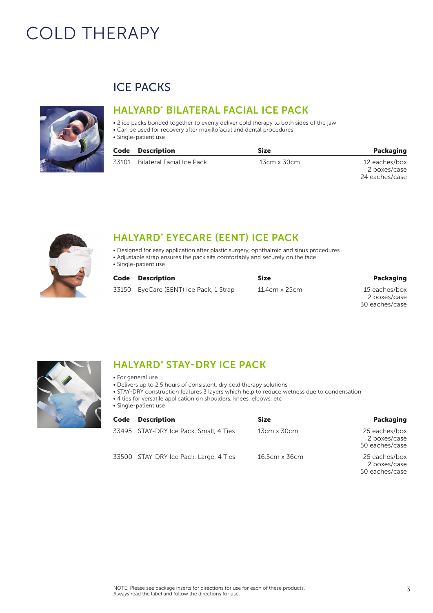# <span id="page-2-0"></span>COLD THERAPY



# ICE PACKS

### HALYARD\* BILATERAL FACIAL ICE PACK

- 2 ice packs bonded together to evenly deliver cold therapy to both sides of the jaw
- Can be used for recovery after maxillofacial and dental procedures
- Single-patient use

### Code Description Size Packaging

| 33101 Bilateral Facial Ice Pack | 13cm x 30cm | 12 eaches/box  |
|---------------------------------|-------------|----------------|
|                                 |             | 2 boxes/case   |
|                                 |             | 24 eaches/case |



# HALYARD\* EYECARE (EENT) ICE PACK

- Designed for easy application after plastic surgery, ophthalmic and sinus procedures
- Adjustable strap ensures the pack sits comfortably and securely on the face
- Single-patient use

| Code | Description                            | Size          | <b>Packaging</b>                                |
|------|----------------------------------------|---------------|-------------------------------------------------|
|      | 33150 EyeCare (EENT) Ice Pack, 1 Strap | 11.4cm x 25cm | 15 eaches/box<br>2 boxes/case<br>30 eaches/case |



# HALYARD<sup>\*</sup> STAY-DRY ICE PACK

- For general use
- Delivers up to 2.5 hours of consistent, dry cold therapy solutions
- STAY-DRY construction features 3 layers which help to reduce wetness due to condensation
	- 4 ties for versatile application on shoulders, knees, elbows, etc
	- Single-patient use

| Code | <b>Description</b>                     | <b>Size</b>        | <b>Packaging</b>                                |
|------|----------------------------------------|--------------------|-------------------------------------------------|
|      | 33495 STAY-DRY Ice Pack, Small, 4 Ties | $13cm \times 30cm$ | 25 eaches/box<br>2 boxes/case<br>50 eaches/case |
|      | 33500 STAY-DRY Ice Pack, Large, 4 Ties | 16.5cm x 36cm      | 25 eaches/box<br>2 boxes/case<br>50 eaches/case |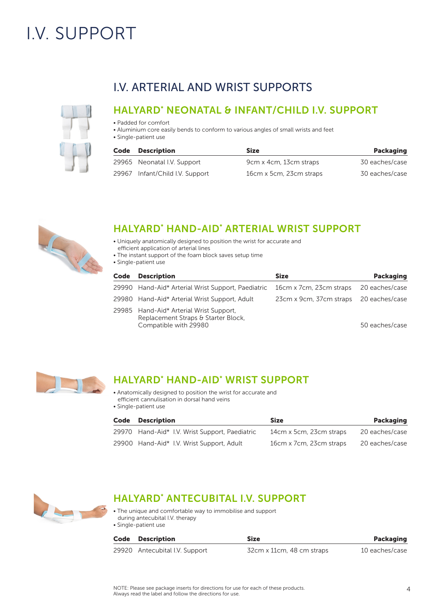# <span id="page-3-0"></span>I.V. SUPPORT



# I.V. ARTERIAL AND WRIST SUPPORTS

## HALYARD\* NEONATAL & INFANT/CHILD I.V. SUPPORT

- Padded for comfort
- Aluminium core easily bends to conform to various angles of small wrists and feet
- Single-patient use

| Code | <b>Description</b>              | <b>Size</b>             | <b>Packaging</b> |
|------|---------------------------------|-------------------------|------------------|
|      | 29965 Neonatal I.V. Support     | 9cm x 4cm, 13cm straps  | 30 eaches/case   |
|      | 29967 Infant/Child I.V. Support | 16cm x 5cm, 23cm straps | 30 eaches/case   |



# HALYARD\* HAND-AID\* ARTERIAL WRIST SUPPORT

- Uniquely anatomically designed to position the wrist for accurate and efficient application of arterial lines
- The instant support of the foam block saves setup time
- Single-patient use

| Code | <b>Description</b>                                                                                      | <b>Size</b>                            | Packaging      |
|------|---------------------------------------------------------------------------------------------------------|----------------------------------------|----------------|
|      | 29990 Hand-Aid* Arterial Wrist Support, Paediatric                                                      | 16cm x 7cm, 23cm straps                | 20 eaches/case |
|      | 29980 Hand-Aid* Arterial Wrist Support, Adult                                                           | 23cm x 9cm, 37cm straps 20 eaches/case |                |
|      | 29985 Hand-Aid* Arterial Wrist Support,<br>Replacement Straps & Starter Block,<br>Compatible with 29980 |                                        | 50 eaches/case |



# HALYARD\* HAND-AID\* WRIST SUPPORT

- Anatomically designed to position the wrist for accurate and efficient cannulisation in dorsal hand veins
- Single-patient use

| Code | <b>Description</b>                             | <b>Size</b>             | <b>Packaging</b> |
|------|------------------------------------------------|-------------------------|------------------|
|      | 29970 Hand-Aid* I.V. Wrist Support, Paediatric | 14cm x 5cm, 23cm straps | 20 eaches/case   |
|      | 29900 Hand-Aid* I.V. Wrist Support, Adult      | 16cm x 7cm, 23cm straps | 20 eaches/case   |



# HALYARD\* ANTECUBITAL I.V. SUPPORT

• The unique and comfortable way to immobilise and support during antecubital I.V. therapy • Single-patient use

| Code Description               | <b>Size</b>               | <b>Packaging</b> |
|--------------------------------|---------------------------|------------------|
| 29920 Antecubital I.V. Support | 32cm x 11cm, 48 cm straps | 10 eaches/case   |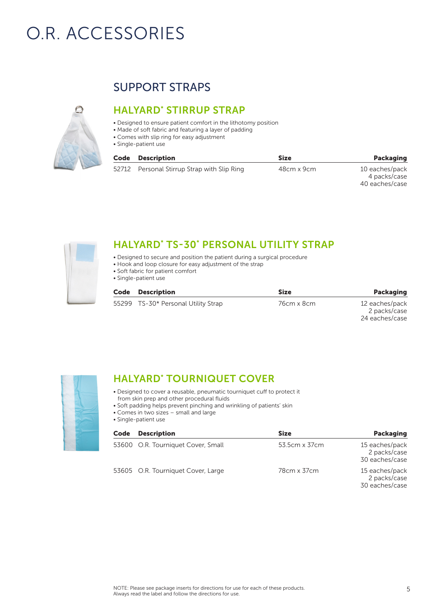# <span id="page-4-0"></span>O.R. ACCESSORIES



# SUPPORT STRAPS

# HALYARD\* STIRRUP STRAP

- Designed to ensure patient comfort in the lithotomy position
- Made of soft fabric and featuring a layer of padding
- Comes with slip ring for easy adjustment
- Single-patient use

| Code | <b>Description</b>                          | <b>Size</b> | <b>Packaging</b>                                 |
|------|---------------------------------------------|-------------|--------------------------------------------------|
|      | 52712 Personal Stirrup Strap with Slip Ring | 48cm x 9cm  | 10 eaches/pack<br>4 packs/case<br>40 eaches/case |



## HALYARD\* TS-30\* PERSONAL UTILITY STRAP

- Designed to secure and position the patient during a surgical procedure
- Hook and loop closure for easy adjustment of the strap
- Soft fabric for patient comfort
- Single-patient use

| Code | <b>Description</b>                  | Size       | Packaging                      |
|------|-------------------------------------|------------|--------------------------------|
|      | 55299 TS-30* Personal Utility Strap | 76cm x 8cm | 12 eaches/pack<br>2 packs/case |



## HALYARD\* TOURNIQUET COVER

- Designed to cover a reusable, pneumatic tourniquet cuff to protect it from skin prep and other procedural fluids
- Soft padding helps prevent pinching and wrinkling of patients' skin
- Comes in two sizes small and large
- Single-patient use

| Code | <b>Description</b>                 | <b>Size</b>   | <b>Packaging</b>                                 |
|------|------------------------------------|---------------|--------------------------------------------------|
|      | 53600 O.R. Tourniquet Cover, Small | 53.5cm x 37cm | 15 eaches/pack<br>2 packs/case<br>30 eaches/case |
|      | 53605 O.R. Tourniquet Cover, Large | 78cm x 37cm   | 15 eaches/pack<br>2 packs/case<br>30 eaches/case |

24 eaches/case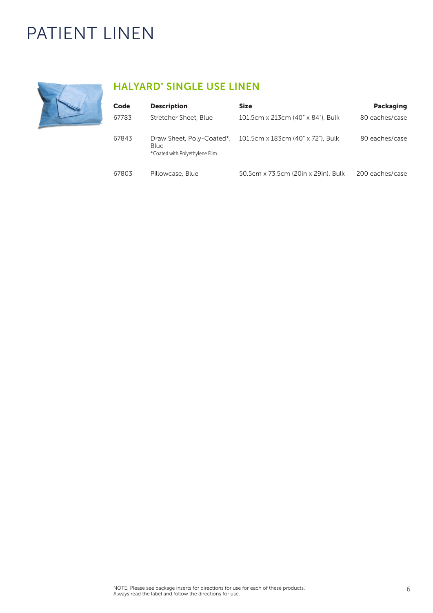# <span id="page-5-0"></span>PATIENT LINEN



# HALYARD\* SINGLE USE LINEN

| Code  | <b>Description</b>                                                  | <b>Size</b>                         | <b>Packaging</b> |
|-------|---------------------------------------------------------------------|-------------------------------------|------------------|
| 67783 | Stretcher Sheet, Blue                                               | 101.5cm x 213cm (40" x 84"), Bulk   | 80 eaches/case   |
| 67843 | Draw Sheet, Poly-Coated*,<br>Blue<br>*Coated with Polyethylene Film | 101.5cm x 183cm (40" x 72"), Bulk   | 80 eaches/case   |
| 67803 | Pillowcase, Blue                                                    | 50.5cm x 73.5cm (20in x 29in), Bulk | 200 eaches/case  |